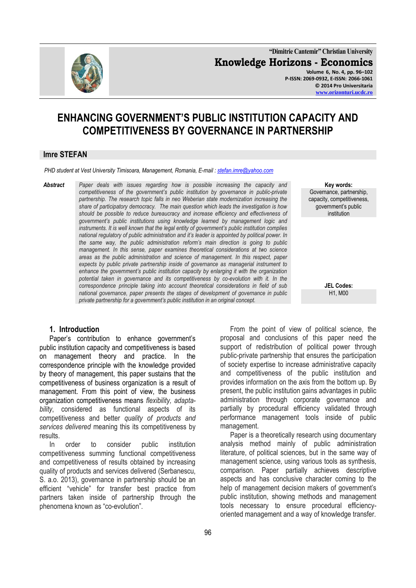

**"Dimitrie Cantemir" Christian University Knowledge Horizons - Economics Volume 6, No. 4, pp. 96–102 P-ISSN: 2069-0932, E-ISSN: 2066-1061 © 2014 Pro Universitaria**

#### **[www.orizonturi.ucdc.ro](http://www.orizonturi.ucdc.ro/)**

# **ENHANCING GOVERNMENT'S PUBLIC INSTITUTION CAPACITY AND COMPETITIVENESS BY GOVERNANCE IN PARTNERSHIP**

#### **Imre STEFAN**

*PHD* student at Vest University Timisoara, Management, Romania, E-mail : stefan.imre@yahoo.com

*Abstract Paper deals with issues regarding how is possible increasing the capacity and competitiveness of the government's public institution by governance in public-private partnership. The research topic falls in neo Weberian state modernization increasing the share of participatory democracy. The main question which leads the investigation is how should be possible to reduce bureaucracy and increase efficiency and effectiveness of government's public institutions using knowledge learned by management logic and instruments. It is well known that the legal entity of government's public institution complies national regulatory of public administration and it's leader is appointed by political power. In the same way, the public administration reform's main direction is going to public management. In this sense, paper examines theoretical considerations at two science areas as the public administration and science of management. In this respect, paper expects by public private partnership inside of governance as managerial instrument to enhance the government's public institution capacity by enlarging it with the organization potential taken in governance and its competitiveness by co-evolution with it. In the correspondence principle taking into account theoretical considerations in field of sub national governance, paper presents the stages of development of governance in public private partnership for a government's public institution in an original concept.* 

#### **1. Introduction**

Paper's contribution to enhance government's public institution capacity and competitiveness is based on management theory and practice. In the correspondence principle with the knowledge provided by theory of management, this paper sustains that the competitiveness of business organization is a result of management. From this point of view, the business organization competitiveness means *flexibility, adaptability*, considered as functional aspects of its competitiveness and better *quality of products and services delivered* meaning this its competitiveness by results.

In order to consider public institution competitiveness summing functional competitiveness and competitiveness of results obtained by increasing quality of products and services delivered (Serbanescu, S. a.o. 2013), governance in partnership should be an efficient "vehicle" for transfer best practice from partners taken inside of partnership through the phenomena known as "co-evolution".

From the point of view of political science, the proposal and conclusions of this paper need the support of redistribution of political power through public-private partnership that ensures the participation of society expertise to increase administrative capacity and competitiveness of the public institution and provides information on the axis from the bottom up. By present, the public institution gains advantages in public administration through corporate governance and partially by procedural efficiency validated through performance management tools inside of public management.

Paper is a theoretically research using documentary analysis method mainly of public administration literature, of political sciences, but in the same way of management science, using various tools as synthesis, comparison. Paper partially achieves descriptive aspects and has conclusive character coming to the help of management decision makers of government's public institution, showing methods and management tools necessary to ensure procedural efficiencyoriented management and a way of knowledge transfer.

**Key words:** Governance, partnership, capacity, competitiveness, government's public institution

> **JEL Codes:** H1, M00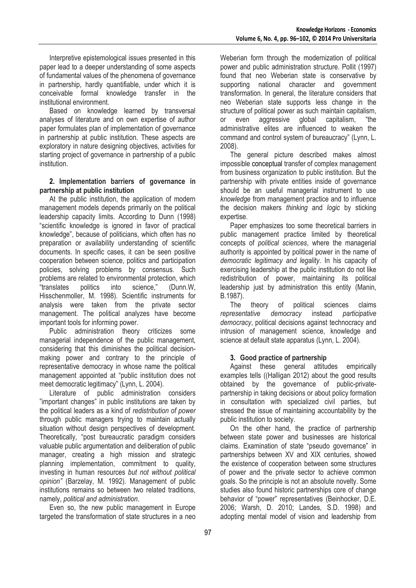Interpretive epistemological issues presented in this paper lead to a deeper understanding of some aspects of fundamental values of the phenomena of governance in partnership, hardly quantifiable, under which it is conceivable formal knowledge transfer in the institutional environment.

Based on knowledge learned by transversal analyses of literature and on own expertise of author paper formulates plan of implementation of governance in partnership at public institution. These aspects are exploratory in nature designing objectives, activities for starting project of governance in partnership of a public institution.

#### **2. Implementation barriers of governance in partnership at public institution**

At the public institution, the application of modern management models depends primarily on the political leadership capacity limits. According to Dunn (1998) "scientific knowledge is ignored in favor of practical knowledge", because of politicians, which often has no preparation or availability understanding of scientific documents. In specific cases, it can be seen positive cooperation between science, politics and participation policies, solving problems by consensus. Such problems are related to environmental protection, which "translates politics into science," (Dunn.W, Hisschenmoller, M. 1998). Scientific instruments for analysis were taken from the private sector management. The political analyzes have become important tools for informing power.

Public administration theory criticizes some managerial independence of the public management, considering that this diminishes the political decisionmaking power and contrary to the principle of representative democracy in whose name the political management appointed at "public institution does not meet democratic legitimacy" (Lynn, L. 2004).

Literature of public administration considers "important changes" in public institutions are taken by the political leaders as a kind of *redistribution of power* through public managers trying to maintain actually situation without design perspectives of development. Theoretically, "post bureaucratic paradigm considers valuable public argumentation and deliberation of public manager, creating a high mission and strategic planning implementation, commitment to quality, investing in human resources *but not without political opinion"* (Barzelay, M. 1992). Management of public institutions remains so between two related traditions, namely, *political and administration*.

Even so, the new public management in Europe targeted the transformation of state structures in a neo

Weberian form through the modernization of political power and public administration structure. Pollit (1997) found that neo Weberian state is conservative by supporting national character and government transformation. In general, the literature considers that neo Weberian state supports less change in the structure of political power as such maintain capitalism, or even aggressive global capitalism, "the administrative elites are influenced to weaken the command and control system of bureaucracy" (Lynn, L. 2008).

The general picture described makes almost impossible conceptual transfer of complex management from business organization to public institution. But the partnership with private entities inside of governance should be an useful managerial instrument to use *knowledge* from management practice and to influence the decision makers *thinking* and *logic* by sticking expertise.

Paper emphasizes too some theoretical barriers in public management practice limited by theoretical concepts of *political sciences*, where the managerial authority is appointed by political power in the name of *democratic legitimacy and legality*. In his capacity of exercising leadership at the public institution do not like redistribution of power, maintaining its political leadership just by administration this entity (Manin, B.1987).

The theory of political sciences claims *representative democracy* instead *participative democracy*, political decisions against technocracy and intrusion of management science, knowledge and science at default state apparatus (Lynn, L. 2004).

## **3. Good practice of partnership**

Against these general attitudes empirically examples tells ((Halligan 2012) about the good results obtained by the governance of public-privatepartnership in taking decisions or about policy formation in consultation with specialized civil parties, but stressed the issue of maintaining accountability by the public institution to society.

On the other hand, the practice of partnership between state power and businesses are historical claims. Examination of state "pseudo governance" in partnerships between XV and XIX centuries, showed the existence of cooperation between some structures of power and the private sector to achieve common goals. So the principle is not an absolute novelty. Some studies also found historic partnerships core of change behavior of "power" representatives (Beinhocker, D.E. 2006; Warsh, D. 2010; Landes, S.D. 1998) and adopting mental model of vision and leadership from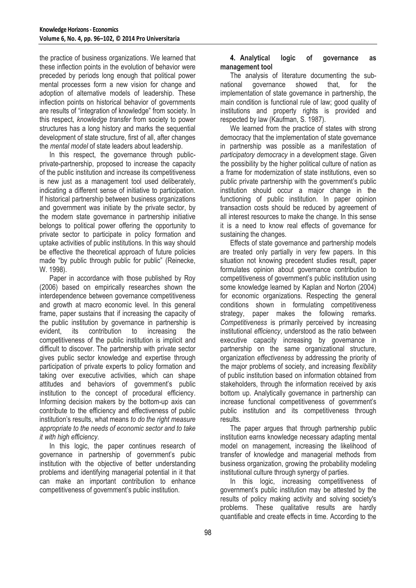the practice of business organizations. We learned that these inflection points in the evolution of behavior were preceded by periods long enough that political power mental processes form a new vision for change and adoption of alternative models of leadership. These inflection points on historical behavior of governments are results of "integration of knowledge" from society. In this respect, *knowledge transfer* from society to power structures has a long history and marks the sequential development of state structure, first of all, after changes the *mental model* of state leaders about leadership.

In this respect, the governance through publicprivate-partnership, proposed to increase the capacity of the public institution and increase its competitiveness is new just as a management tool used deliberately, indicating a different sense of initiative to participation. If historical partnership between business organizations and government was initiate by the private sector, by the modern state governance in partnership initiative belongs to political power offering the opportunity to private sector to participate in policy formation and uptake activities of public institutions. In this way should be effective the theoretical approach of future policies made "by public through public for public" (Reinecke, W. 1998).

Paper in accordance with those published by Roy (2006) based on empirically researches shown the interdependence between governance competitiveness and growth at macro economic level. In this general frame, paper sustains that if increasing the capacity of the public institution by governance in partnership is evident, its contribution to increasing the competitiveness of the public institution is implicit and difficult to discover. The partnership with private sector gives public sector knowledge and expertise through participation of private experts to policy formation and taking over executive activities, which can shape attitudes and behaviors of government's public institution to the concept of procedural efficiency. Informing decision makers by the bottom-up axis can contribute to the efficiency and effectiveness of public institution's results, what means *to do the right measure appropriate to the needs of economic sector and to take it with high efficiency*.

In this logic, the paper continues research of governance in partnership of government's pubic institution with the objective of better understanding problems and identifying managerial potential in it that can make an important contribution to enhance competitiveness of government's public institution.

#### **4. Analytical logic of governance as management tool**

The analysis of literature documenting the subnational governance showed that, for the implementation of state governance in partnership, the main condition is functional rule of law; good quality of institutions and property rights is provided and respected by law (Kaufman, S. 1987).

We learned from the practice of states with strong democracy that the implementation of state governance in partnership was possible as a manifestation of *participatory democracy* in a development stage. Given the possibility by the higher political culture of nation as a frame for modernization of state institutions, even so public private partnership with the government's public institution should occur a major change in the functioning of public institution. In paper opinion transaction costs should be reduced by agreement of all interest resources to make the change. In this sense it is a need to know real effects of governance for sustaining the changes.

Effects of state governance and partnership models are treated only partially in very few papers. In this situation not knowing precedent studies result, paper formulates opinion about governance contribution to competitiveness of government's public institution using some knowledge learned by Kaplan and Norton (2004) for economic organizations. Respecting the general conditions shown in formulating competitiveness strategy, paper makes the following remarks. *Competitiveness* is primarily perceived by increasing institutional *efficiency*, understood as the ratio between executive capacity increasing by governance in partnership on the same organizational structure, organization *effectiveness* by addressing the priority of the major problems of society, and increasing *flexibility* of public institution based on information obtained from stakeholders, through the information received by axis bottom up. Analytically governance in partnership can increase functional competitiveness of government's public institution and its competitiveness through results.

The paper argues that through partnership public institution earns knowledge necessary adapting mental model on management, increasing the likelihood of transfer of knowledge and managerial methods from business organization, growing the probability modeling institutional culture through synergy of parties.

In this logic, increasing competitiveness of government's public institution may be attested by the results of policy making activity and solving society's problems. These qualitative results are hardly quantifiable and create effects in time. According to the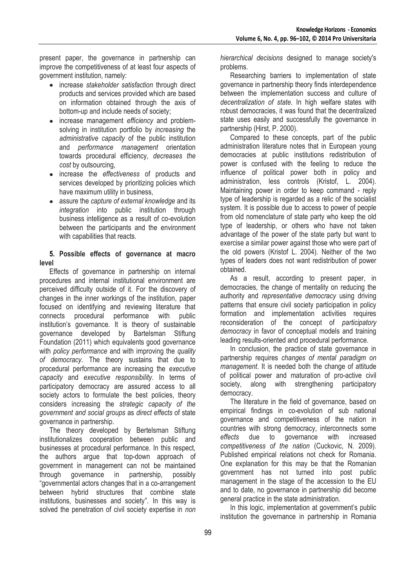present paper, the governance in partnership can improve the competitiveness of at least four aspects of government institution, namely:

- increase *stakeholder satisfaction* through direct products and services provided which are based on information obtained through the axis of bottom-up and include needs of society;
- increase management *efficiency* and problemsolving in institution portfolio by *increasing* the *administrative capacity* of the public institution and *performance management* orientation towards procedural efficiency, *decreases the cost* by outsourcing,
- increase the *effectiveness* of products and services developed by prioritizing policies which have maximum utility in business,
- assure the *capture of external knowledge* and its *integration* into public institution through business intelligence as a result of co-evolution between the participants and the environment with capabilities that reacts.

## **5. Possible effects of governance at macro level**

Effects of governance in partnership on internal procedures and internal institutional environment are perceived difficulty outside of it. For the discovery of changes in the inner workings of the institution, paper focused on identifying and reviewing literature that connects procedural performance with public institution's governance. It is theory of sustainable governance developed by Bartelsman Stiftung Foundation (2011) which equivalents good governance with *policy performance* and with improving the *quality of democracy*. The theory sustains that due to procedural performance are increasing the *executive capacity* and *executive responsibility*. In terms of participatory democracy are assured access to all society actors to formulate the best policies, theory considers increasing the *strategic capacity of the government and social groups* as *direct effects* of state governance in partnership.

The theory developed by Bertelsman Stiftung institutionalizes cooperation between public and businesses at procedural performance. In this respect, the authors argue that top-down approach of government in management can not be maintained through governance in partnership, possibly "governmental actors changes that in a co-arrangement between hybrid structures that combine state institutions, businesses and society". In this way is solved the penetration of civil society expertise in *non*  *hierarchical decisions* designed to manage society's problems.

Researching barriers to implementation of state governance in partnership theory finds interdependence between the implementation success and culture of *decentralization of state*. In high welfare states with robust democracies, it was found that the decentralized state uses easily and successfully the governance in partnership (Hirst, P. 2000).

Compared to these concepts, part of the public administration literature notes that in European young democracies at public institutions redistribution of power is confused with the feeling to reduce the influence of political power both in policy and administration, less controls (Kristof, L. 2004). Maintaining power in order to keep command - reply type of leadership is regarded as a relic of the socialist system. It is possible due to access to power of people from old nomenclature of state party who keep the old type of leadership, or others who have not taken advantage of the power of the state party but want to exercise a similar power against those who were part of the old powers (Kristof L. 2004). Neither of the two types of leaders does not want redistribution of power obtained.

As a result, according to present paper, in democracies, the change of mentality on reducing the authority and *representative democracy* using driving patterns that ensure civil society participation in policy formation and implementation activities requires reconsideration of the concept of *participatory democracy* in favor of conceptual models and training leading results-oriented and procedural performance.

In conclusion, the practice of state governance in partnership requires *changes of mental paradigm on management*. It is needed both the change of attitude of political power and maturation of pro-active civil society, along with strengthening participatory democracy.

The literature in the field of governance, based on empirical findings in co-evolution of sub national governance and competitiveness of the nation in countries with strong democracy, interconnects some *effects* due to governance with increased *competitiveness of the nation* (Cuckovic, N. 2009). Published empirical relations not check for Romania. One explanation for this may be that the Romanian government has not turned into post public management in the stage of the accession to the EU and to date, no governance in partnership did become general practice in the state administration.

In this logic, implementation at government's public institution the governance in partnership in Romania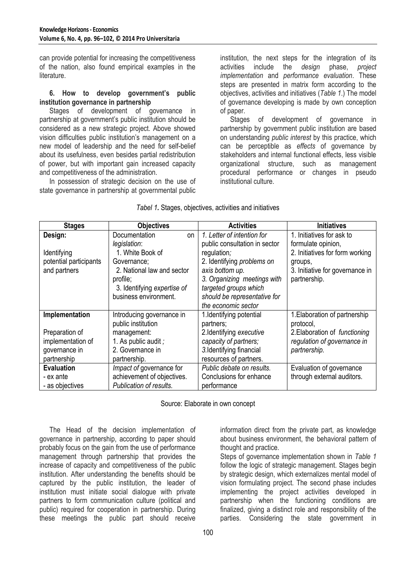can provide potential for increasing the competitiveness of the nation, also found empirical examples in the literature.

#### **6. How to develop government's public institution governance in partnership**

Stages of development of governance in partnership at government's public institution should be considered as a new strategic project. Above showed vision difficulties public institution's management on a new model of leadership and the need for self-belief about its usefulness, even besides partial redistribution of power, but with important gain increased capacity and competitiveness of the administration.

In possession of strategic decision on the use of state governance in partnership at governmental public institution, the next steps for the integration of its activities include the *design* phase, *project implementation* and *performance evaluation*. These steps are presented in matrix form according to the objectives, activities and initiatives (*Table 1*.) The model of governance developing is made by own conception of paper.

Stages of development of governance in partnership by government public institution are based on understanding *public interest* by this practice, which can be perceptible as *effects* of governance by stakeholders and internal functional effects, less visible organizational structure, such as management procedural performance or changes in pseudo institutional culture.

| <b>Stages</b>          | <b>Objectives</b>           | <b>Activities</b>             | <b>Initiatives</b>              |
|------------------------|-----------------------------|-------------------------------|---------------------------------|
| Design:                | Documentation<br>on         | 1. Letter of intention for    | 1. Initiatives for ask to       |
|                        | legislation:                | public consultation in sector | formulate opinion,              |
| Identifying            | 1. White Book of            | regulation;                   | 2. Initiatives for form working |
| potential participants | Governance;                 | 2. Identifying problems on    | groups,                         |
| and partners           | 2. National law and sector  | axis bottom up.               | 3. Initiative for governance in |
|                        | profile;                    | 3. Organizing meetings with   | partnership.                    |
|                        | 3. Identifying expertise of | targeted groups which         |                                 |
|                        | business environment.       | should be representative for  |                                 |
|                        |                             | the economic sector           |                                 |
| Implementation         | Introducing governance in   | 1. Identifying potential      | 1. Elaboration of partnership   |
|                        | public institution          | partners;                     | protocol,                       |
| Preparation of         | management:                 | 2.Identifying executive       | 2. Elaboration of functioning   |
| implementation of      | 1. As public audit ;        | capacity of partners;         | regulation of governance in     |
| governance in          | 2. Governance in            | 3.Identifying financial       | partnership.                    |
| partnership            | partnership.                | resources of partners.        |                                 |
| <b>Evaluation</b>      | Impact of governance for    | Public debate on results.     | Evaluation of governance        |
| - ex ante              | achievement of objectives.  | Conclusions for enhance       | through external auditors.      |
| - as objectives        | Publication of results.     | performance                   |                                 |

## *Tabel 1.* Stages, objectives, activities and initiatives

Source: Elaborate in own concept

The Head of the decision implementation of governance in partnership, according to paper should probably focus on the gain from the use of performance management through partnership that provides the increase of capacity and competitiveness of the public institution. After understanding the benefits should be captured by the public institution, the leader of institution must initiate social dialogue with private partners to form communication culture (political and public) required for cooperation in partnership. During these meetings the public part should receive

information direct from the private part, as knowledge about business environment, the behavioral pattern of thought and practice.

Steps of governance implementation shown in *Table 1* follow the logic of strategic management. Stages begin by strategic design, which externalizes mental model of vision formulating project. The second phase includes implementing the project activities developed in partnership when the functioning conditions are finalized, giving a distinct role and responsibility of the parties. Considering the state government in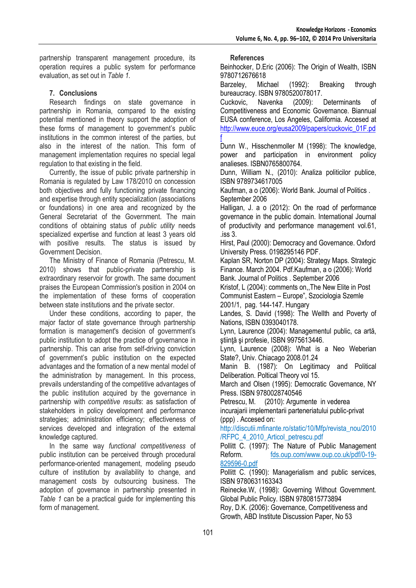partnership transparent management procedure, its operation requires a public system for performance evaluation, as set out in *Table 1.*

# **7. Conclusions**

Research findings on state governance in partnership in Romania, compared to the existing potential mentioned in theory support the adoption of these forms of management to government's public institutions in the common interest of the parties, but also in the interest of the nation. This form of management implementation requires no special legal regulation to that existing in the field.

Currently, the issue of public private partnership in Romania is regulated by Law 178/2010 on concession both objectives and fully functioning private financing and expertise through entity specialization (associations or foundations) in one area and recognized by the General Secretariat of the Government. The main conditions of obtaining status of *public utility* needs specialized expertise and function at least 3 years old with positive results. The status is issued by Government Decision.

The Ministry of Finance of Romania (Petrescu, M. 2010) shows that public-private partnership is extraordinary reservoir for growth. The same document praises the European Commission's position in 2004 on the implementation of these forms of cooperation between state institutions and the private sector.

Under these conditions, according to paper, the major factor of state governance through partnership formation is management's decision of government's public institution to adopt the practice of governance in partnership. This can arise from self-driving conviction of government's public institution on the expected advantages and the formation of a new mental model of the administration by management. In this process, prevails understanding of the competitive advantages of the public institution acquired by the governance in partnership with *competitive results*: as satisfaction of stakeholders in policy development and performance strategies; administration efficiency; effectiveness of services developed and integration of the external knowledge captured.

In the same way *functional competitiveness* of public institution can be perceived through procedural performance-oriented management, modeling pseudo culture of institution by availability to change, and management costs by outsourcing business. The adoption of governance in partnership presented in *Table 1* can be a practical guide for implementing this form of management.

**References**

Beinhocker, D.Eric (2006): The Origin of Wealth, ISBN 9780712676618

Barzeley, Michael (1992): Breaking through bureaucracy. ISBN 9780520078017.

Cuckovic, Navenka (2009): Determinants of Competitiveness and Economic Governance. Biannual EUSA conference, Los Angeles, California. Accesed at [http://www.euce.org/eusa2009/papers/cuckovic\\_01F.pd](http://www.euce.org/eusa2009/papers/cuckovic_01F.pdf) [f](http://www.euce.org/eusa2009/papers/cuckovic_01F.pdf)

Dunn W., Hisschenmoller M (1998): The knowledge, power and participation in environment policy analieses. ISBN0765800764.

Dunn, William N., (2010): Analiza politicilor publice, ISBN 9789734617005

Kaufman, a o (2006): World Bank. Journal of Politics . September 2006

Halligan, J. a o (2012): On the road of performance governance in the public domain. International Journal of productivity and performance management vol.61, .iss 3.

Hirst, Paul (2000): Democracy and Governance. Oxford University Press. 0198295146 PDF.

Kaplan SR, Norton DP (2004): Strategy Maps. Strategic Finance. March 2004. Pdf.Kaufman, a o (2006): World Bank. Journal of Politics . September 2006

Kristof, L (2004): comments on,,The New Elite in Post Communist Eastern – Europe", Szociologia Szemle 2001/1, pag. 144-147. Hungary

Landes, S. David (1998): The Wellth and Poverty of Nations, ISBN 0393040178.

Lynn, Laurence (2004): Managementul public, ca artă, ştiinţă şi profesie, ISBN 9975613446.

Lynn, Laurence (2008): What is a Neo Weberian State?, Univ. Chiacago 2008.01.24

Manin B. (1987): On Legitimacy and Political Deliberation. Poltical Theory vol 15.

March and Olsen (1995): Democratic Governance, NY Press. ISBN 9780028740546

Petrescu, M. (2010): Argumente in vederea incurajarii implementarii parteneriatului public-privat (ppp) . Accesed on:

http://discutii.mfinante.ro/static/10/Mfp/revista\_nou/2010 /RFPC\_4\_2010\_Articol\_petrescu.pdf

Pollitt C. (1997): The Nature of Public Management Reform. fds.oup.com/www.oup.co.uk/pdf/0-19- 829596-0.pdf

Pollitt C. (1990): Managerialism and public services, ISBN 9780631163343

Reinecke.W, (1998): Governing Without Government. Global Public Policy. ISBN 9780815773894 Roy, D.K. (2006): Governance, Competitiveness and Growth, ABD Institute Discussion Paper, No 53